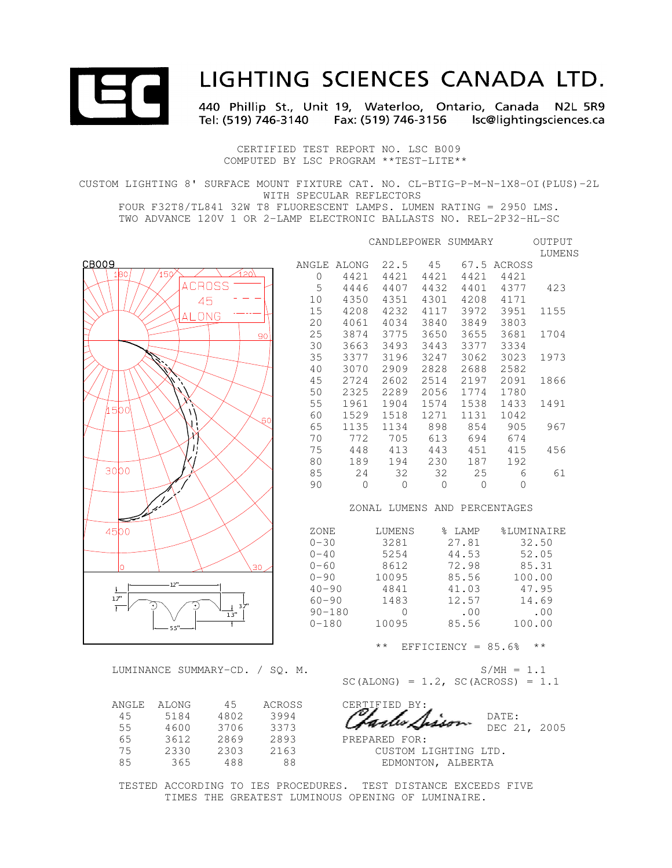

# LIGHTING SCIENCES CANADA LTD.

440 Phillip St., Unit 19, Waterloo, Ontario, Canada N2L 5R9 Tel: (519) 746-3140 Fax: (519) 746-3156 Isc@lightingsciences.ca

 CERTIFIED TEST REPORT NO. LSC B009 COMPUTED BY LSC PROGRAM \*\*TEST-LITE\*\*

CUSTOM LIGHTING 8' SURFACE MOUNT FIXTURE CAT. NO. CL-BTIG-P-M-N-1X8-OI(PLUS)-2L WITH SPECULAR REFLECTORS FOUR F32T8/TL841 32W T8 FLUORESCENT LAMPS. LUMEN RATING = 2950 LMS.

TWO ADVANCE 120V 1 OR 2-LAMP ELECTRONIC BALLASTS NO. REL-2P32-HL-SC

|                                 |            |                              | CANDLEPOWER SUMMARY                   |              |                      |              | OUTPUT<br>LUMENS |  |  |  |
|---------------------------------|------------|------------------------------|---------------------------------------|--------------|----------------------|--------------|------------------|--|--|--|
| CB009                           |            | ANGLE ALONG                  | 22.5                                  | 45           |                      | 67.5 ACROSS  |                  |  |  |  |
| ∕120\<br>150<br>1B <sub>0</sub> | $\Omega$   | 4421                         | 4421                                  | 4421         | 4421                 | 4421         |                  |  |  |  |
| <b>ACROSS</b>                   | 5          | 4446                         | 4407                                  | 4432         | 4401                 | 4377         | 423              |  |  |  |
| 45                              | 10         | 4350                         | 4351                                  | 4301         | 4208                 | 4171         |                  |  |  |  |
|                                 | 15         | 4208                         | 4232                                  | 4117         | 3972                 | 3951         | 1155             |  |  |  |
| ALONG                           | 20         | 4061                         | 4034                                  | 3840         | 3849                 | 3803         |                  |  |  |  |
| 90                              | 25         | 3874                         | 3775                                  | 3650         | 3655                 | 3681         | 1704             |  |  |  |
|                                 | 30         | 3663                         | 3493                                  | 3443         | 3377                 | 3334         |                  |  |  |  |
|                                 | 35         | 3377                         | 3196                                  | 3247         | 3062                 | 3023         | 1973             |  |  |  |
|                                 | 40         | 3070                         | 2909                                  | 2828         | 2688                 | 2582         |                  |  |  |  |
|                                 | 45         | 2724                         | 2602                                  | 2514         | 2197                 | 2091         | 1866             |  |  |  |
|                                 | 50         | 2325                         | 2289                                  | 2056         | 1774                 | 1780         |                  |  |  |  |
| 45bol                           | 55         | 1961                         | 1904                                  | 1574         | 1538                 | 1433         | 1491             |  |  |  |
| 60                              | 60         | 1529                         | 1518                                  | 1271         | 1131                 | 1042         |                  |  |  |  |
|                                 | 65         | 1135                         | 1134                                  | 898          | 854                  | 905          | 967              |  |  |  |
| Χ                               | 70         | 772                          | 705                                   | 613          | 694                  | 674          |                  |  |  |  |
| Τį                              | 75         | 448                          | 413                                   | 443          | 451                  | 415          | 456              |  |  |  |
| odoe                            | 80         | 189                          | 194                                   | 230          | 187                  | 192          |                  |  |  |  |
|                                 | 85         | 24                           | 32                                    | 32           | 25                   | 6            | 61               |  |  |  |
|                                 | 90         | $\circ$                      | $\Omega$                              | $\mathbf{0}$ | $\Omega$             | $\Omega$     |                  |  |  |  |
|                                 |            | ZONAL LUMENS AND PERCENTAGES |                                       |              |                      |              |                  |  |  |  |
| 4500                            | ZONE       |                              | LUMENS                                |              | % LAMP               | %LUMINAIRE   |                  |  |  |  |
|                                 | $0 - 30$   |                              | 3281                                  |              | 27.81                |              | 32.50            |  |  |  |
|                                 | $0 - 40$   |                              | 5254                                  |              | 44.53                |              | 52.05            |  |  |  |
| lo.<br>30                       | $0 - 60$   |                              | 8612                                  |              | 72.98                |              | 85.31            |  |  |  |
|                                 | $0 - 90$   |                              | 10095                                 |              | 85.56                | 100.00       |                  |  |  |  |
| $\ddagger$                      | $40 - 90$  |                              | 4841                                  |              | 41.03                |              | 47.95            |  |  |  |
| $1.7"$<br>37                    | $60 - 90$  |                              | 1483                                  |              | 12.57                |              | 14.69            |  |  |  |
| 13"                             | $90 - 180$ |                              | $\circ$                               |              | .00                  |              | .00              |  |  |  |
| 55                              | $0 - 180$  |                              | 10095                                 |              | 85.56                | 100.00       |                  |  |  |  |
|                                 |            |                              | $\star$ $\star$                       |              | EFFICIENCY = $85.6%$ |              | $\star$ $\star$  |  |  |  |
| LUMINANCE SUMMARY-CD. / SQ. M.  |            |                              |                                       |              |                      | $S/MH = 1.1$ |                  |  |  |  |
|                                 |            |                              | $SC(ALONG) = 1.2$ , $SC(ACROS) = 1.1$ |              |                      |              |                  |  |  |  |
| 45<br>ANGLE<br>ALONG<br>ACROSS  |            |                              | CERTIFIED BY:                         |              |                      |              |                  |  |  |  |
| 4802<br>3994<br>45<br>5184      |            |                              |                                       |              |                      | DATE:        |                  |  |  |  |
| 55<br>3373<br>4600<br>3706      |            |                              |                                       |              |                      | DEC 21, 2005 |                  |  |  |  |
| 65<br>3612<br>2869<br>2893      |            |                              | PREPARED FOR:                         |              |                      |              |                  |  |  |  |

 TESTED ACCORDING TO IES PROCEDURES. TEST DISTANCE EXCEEDS FIVE TIMES THE GREATEST LUMINOUS OPENING OF LUMINAIRE.

 75 2330 2303 2163 CUSTOM LIGHTING LTD. 85 365 488 88 EDMONTON, ALBERTA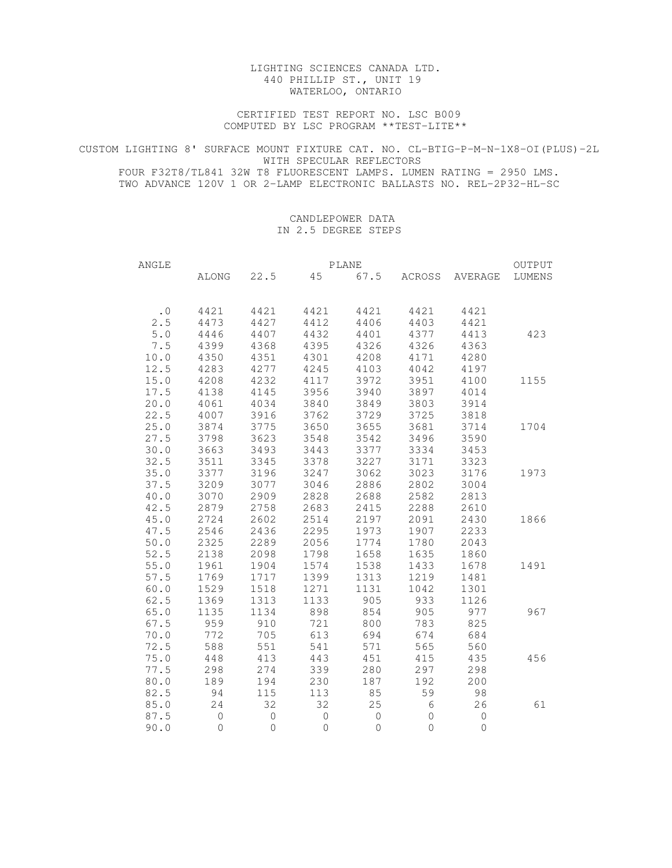## LIGHTING SCIENCES CANADA LTD. 440 PHILLIP ST., UNIT 19 WATERLOO, ONTARIO

 CERTIFIED TEST REPORT NO. LSC B009 COMPUTED BY LSC PROGRAM \*\*TEST-LITE\*\*

CUSTOM LIGHTING 8' SURFACE MOUNT FIXTURE CAT. NO. CL-BTIG-P-M-N-1X8-OI(PLUS)-2L WITH SPECULAR REFLECTORS FOUR F32T8/TL841 32W T8 FLUORESCENT LAMPS. LUMEN RATING = 2950 LMS. TWO ADVANCE 120V 1 OR 2-LAMP ELECTRONIC BALLASTS NO. REL-2P32-HL-SC

## CANDLEPOWER DATA IN 2.5 DEGREE STEPS

| ANGLE     |                |                     | OUTPUT         |         |                |                        |        |
|-----------|----------------|---------------------|----------------|---------|----------------|------------------------|--------|
|           |                | ALONG 22.5          |                |         |                | 45 67.5 ACROSS AVERAGE | LUMENS |
| $\cdot$ 0 | 4421           | 4421                | 4421           | 4421    | 4421           | 4421                   |        |
| 2.5       | 4473           | 4427                | 4412           | 4406    | 4403           | 4421                   |        |
| $5.0$     | 4446           | 4407                | 4432           | 4401    | 4377           | 4413                   | 423    |
| 7.5       | 4399           | 4368                | 4395           | 4326    | 4326           | 4363                   |        |
| 10.0      | 4350           | 4351                | 4301           | 4208    | 4171           | 4280                   |        |
| 12.5      | 4283           | 4277                | 4245           | 4103    | 4042           | 4197                   |        |
| 15.0      | 4208           | 4232                | 4117           | 3972    | 3951           | 4100                   | 1155   |
| 17.5      | 4138           | 4145                | 3956           | 3940    | 3897           | 4014                   |        |
| 20.0      | 4061           | 4034                | 3840           | 3849    | 3803           | 3914                   |        |
| 22.5      | 4007           | 3916                | 3762           | 3729    | 3725           | 3818                   |        |
| 25.0      | 3874           | 3775                | 3650           | 3655    | 3681           | 3714                   | 1704   |
| 27.5      | 3798           | 3623                | 3548           | 3542    | 3496           | 3590                   |        |
| 30.0      | 3663           | 3493                | 3443           | 3377    | 3334           | 3453                   |        |
| 32.5      | 3511           | 3345                | 3378           | 3227    | 3171           | 3323                   |        |
| 35.0      | 3377           | 3196                | 3247           | 3062    | 3023           | 3176                   | 1973   |
| 37.5      | 3209           | 3077                | 3046           | 2886    | 2802           | 3004                   |        |
| 40.0      | 3070           | 2909                | 2828           | 2688    | 2582           | 2813                   |        |
| 42.5      | 2879           | 2758                | 2683           | 2415    | 2288           | 2610                   |        |
| 45.0      | 2724           | 2602                | 2514           | 2197    | 2091           | 2430                   | 1866   |
| 47.5      | 2546           | 2436                | 2295           | 1973    | 1907           | 2233                   |        |
| 50.0      | 2325           | 2289                | 2056           | 1774    | 1780           | 2043                   |        |
| 52.5      | 2138           | 2098                | 1798           | 1658    | 1635           | 1860                   |        |
| 55.0      | 1961           | 1904                | 1574           | 1538    | 1433           | 1678                   | 1491   |
| 57.5      | 1769           | 1717                | 1399           | 1313    | 1219           | 1481                   |        |
| 60.0      | 1529           | 1518                | 1271           | 1131    | 1042           | 1301                   |        |
| 62.5      | 1369           | 1313                | 1133           | 905     | 933            | 1126                   |        |
| 65.0      | 1135           | 1134                | 898            | 854     | 905            | 977                    | 967    |
| 67.5      | 959            | 910                 | 721            | 800     | 783            | 825                    |        |
| 70.0      | 772            | 705                 | 613            | 694     | 674            | 684                    |        |
| 72.5      | 588            | 551                 | 541            | 571     | 565            | 560                    |        |
| 75.0      | 448            | 413                 | 443            | 451     | 415            | 435                    | 456    |
| 77.5      | 298            | 274                 | 339            | 280     | 297            | 298                    |        |
| 80.0      | 189            | 194                 | 230            | 187     | 192            | 200                    |        |
| 82.5      | 94             | 115                 | 113            | 85      | 59             | 98                     |        |
| 85.0      | 24             | 32                  | 32             | 25      | $\sqrt{6}$     | 26                     | 61     |
| 87.5      | $\circledcirc$ | $\circlearrowright$ | $\overline{0}$ | $\circ$ | $\mathsf{O}$   | $\mathbb O$            |        |
| 90.0      | $\circ$        | $\mathsf{O}$        | $\mathbf{0}$   | 0       | $\circledcirc$ | $\overline{0}$         |        |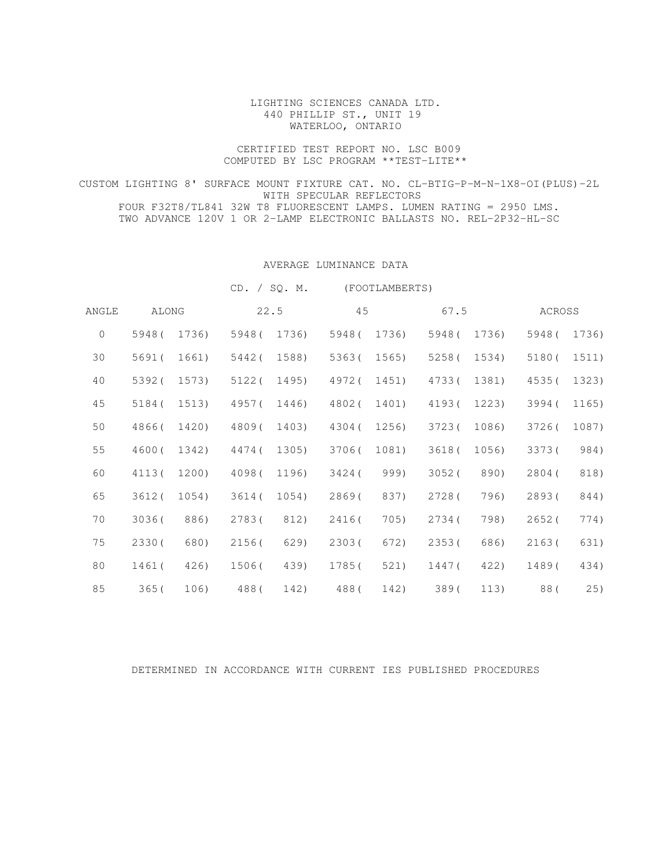## LIGHTING SCIENCES CANADA LTD. 440 PHILLIP ST., UNIT 19 WATERLOO, ONTARIO

## CERTIFIED TEST REPORT NO. LSC B009 COMPUTED BY LSC PROGRAM \*\*TEST-LITE\*\*

CUSTOM LIGHTING 8' SURFACE MOUNT FIXTURE CAT. NO. CL-BTIG-P-M-N-1X8-OI(PLUS)-2L WITH SPECULAR REFLECTORS FOUR F32T8/TL841 32W T8 FLUORESCENT LAMPS. LUMEN RATING = 2950 LMS. TWO ADVANCE 120V 1 OR 2-LAMP ELECTRONIC BALLASTS NO. REL-2P32-HL-SC

## AVERAGE LUMINANCE DATA

CD. / SQ. M. (FOOTLAMBERTS)

| ANGLE        |        | ALONG |        | 22.5  | 45     |       | 67.5   |       | ACROSS |       |  |
|--------------|--------|-------|--------|-------|--------|-------|--------|-------|--------|-------|--|
| $\mathbf{0}$ | 5948(  | 1736) | 5948(  | 1736) | 5948(  | 1736) | 5948(  | 1736) | 5948(  | 1736) |  |
| 30           | 5691(  | 1661) | 5442(  | 1588) | 5363(  | 1565) | 5258(  | 1534) | 5180(  | 1511) |  |
| 40           | 5392(  | 1573) | 5122(  | 1495) | 4972(  | 1451) | 4733(  | 1381) | 4535(  | 1323) |  |
| 45           | 5184(  | 1513) | 4957(  | 1446) | 4802(  | 1401) | 4193(  | 1223) | 3994(  | 1165) |  |
| 50           | 4866(  | 1420) | 4809(  | 1403) | 4304 ( | 1256) | 3723(  | 1086) | 3726(  | 1087) |  |
| 55           | 46000  | 1342) | 4474 ( | 1305) | 3706(  | 1081) | 3618(  | 1056) | 3373(  | 984)  |  |
| 60           | 4113(  | 1200) | 4098(  | 1196) | 3424 ( | 999)  | 3052(  | 890)  | 2804 ( | 818)  |  |
| 65           | 3612(  | 1054) | 3614(  | 1054) | 2869(  | 837)  | 2728(  | 796)  | 2893(  | 844)  |  |
| 70           | 3036(  | 886)  | 2783(  | 812)  | 2416(  | 705)  | 2734(  | 798)  | 2652(  | 774)  |  |
| 75           | 2330 ( | 680)  | 2156(  | 629)  | 2303(  | 672)  | 2353(  | 686)  | 2163(  | 631)  |  |
| 80           | 1461(  | 426)  | 1506(  | 439)  | 1785(  | 521)  | 1447 ( | 422)  | 1489(  | 434)  |  |
| 85           | 365(   | 106)  | 488(   | 142)  | 488(   | 142)  | 389(   | 113)  | 88(    | 25)   |  |

# DETERMINED IN ACCORDANCE WITH CURRENT IES PUBLISHED PROCEDURES